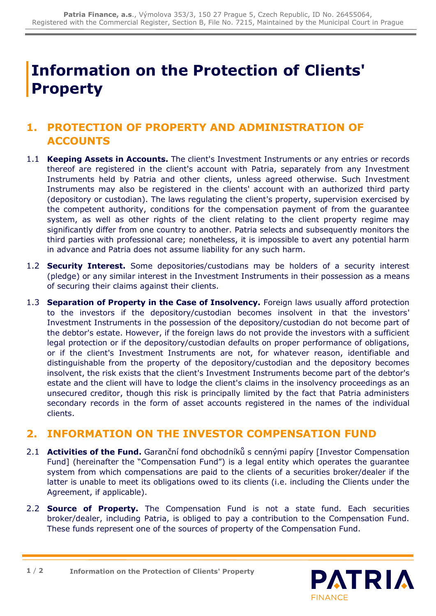## **Information on the Protection of Clients' Property**

## **1. PROTECTION OF PROPERTY AND ADMINISTRATION OF ACCOUNTS**

- 1.1 **Keeping Assets in Accounts.** The client's Investment Instruments or any entries or records thereof are registered in the client's account with Patria, separately from any Investment Instruments held by Patria and other clients, unless agreed otherwise. Such Investment Instruments may also be registered in the clients' account with an authorized third party (depository or custodian). The laws regulating the client's property, supervision exercised by the competent authority, conditions for the compensation payment of from the guarantee system, as well as other rights of the client relating to the client property regime may significantly differ from one country to another. Patria selects and subsequently monitors the third parties with professional care; nonetheless, it is impossible to avert any potential harm in advance and Patria does not assume liability for any such harm.
- 1.2 **Security Interest.** Some depositories/custodians may be holders of a security interest (pledge) or any similar interest in the Investment Instruments in their possession as a means of securing their claims against their clients.
- 1.3 **Separation of Property in the Case of Insolvency.** Foreign laws usually afford protection to the investors if the depository/custodian becomes insolvent in that the investors' Investment Instruments in the possession of the depository/custodian do not become part of the debtor's estate. However, if the foreign laws do not provide the investors with a sufficient legal protection or if the depository/custodian defaults on proper performance of obligations, or if the client's Investment Instruments are not, for whatever reason, identifiable and distinguishable from the property of the depository/custodian and the depository becomes insolvent, the risk exists that the client's Investment Instruments become part of the debtor's estate and the client will have to lodge the client's claims in the insolvency proceedings as an unsecured creditor, though this risk is principally limited by the fact that Patria administers secondary records in the form of asset accounts registered in the names of the individual clients.

## **2. INFORMATION ON THE INVESTOR COMPENSATION FUND**

- 2.1 **Activities of the Fund.** Garanční fond obchodníků s cennými papíry [Investor Compensation Fund] (hereinafter the "Compensation Fund") is a legal entity which operates the guarantee system from which compensations are paid to the clients of a securities broker/dealer if the latter is unable to meet its obligations owed to its clients (i.e. including the Clients under the Agreement, if applicable).
- 2.2 **Source of Property.** The Compensation Fund is not a state fund. Each securities broker/dealer, including Patria, is obliged to pay a contribution to the Compensation Fund. These funds represent one of the sources of property of the Compensation Fund.